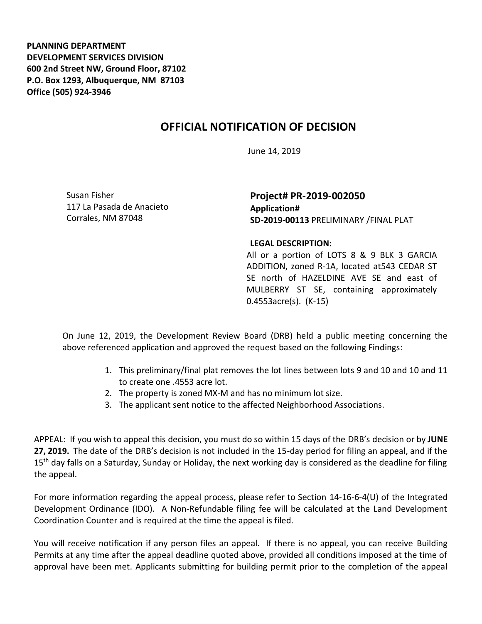**PLANNING DEPARTMENT DEVELOPMENT SERVICES DIVISION 600 2nd Street NW, Ground Floor, 87102 P.O. Box 1293, Albuquerque, NM 87103 Office (505) 924-3946** 

## **OFFICIAL NOTIFICATION OF DECISION**

June 14, 2019

Susan Fisher 117 La Pasada de Anacieto Corrales, NM 87048

**Project# PR-2019-002050 Application# SD-2019-00113** PRELIMINARY /FINAL PLAT

## **LEGAL DESCRIPTION:**

All or a portion of LOTS 8 & 9 BLK 3 GARCIA ADDITION, zoned R-1A, located at543 CEDAR ST SE north of HAZELDINE AVE SE and east of MULBERRY ST SE, containing approximately 0.4553acre(s). (K-15)

On June 12, 2019, the Development Review Board (DRB) held a public meeting concerning the above referenced application and approved the request based on the following Findings:

- 1. This preliminary/final plat removes the lot lines between lots 9 and 10 and 10 and 11 to create one .4553 acre lot.
- 2. The property is zoned MX-M and has no minimum lot size.
- 3. The applicant sent notice to the affected Neighborhood Associations.

APPEAL: If you wish to appeal this decision, you must do so within 15 days of the DRB's decision or by **JUNE 27, 2019.** The date of the DRB's decision is not included in the 15-day period for filing an appeal, and if the 15<sup>th</sup> day falls on a Saturday, Sunday or Holiday, the next working day is considered as the deadline for filing the appeal.

For more information regarding the appeal process, please refer to Section 14-16-6-4(U) of the Integrated Development Ordinance (IDO). A Non-Refundable filing fee will be calculated at the Land Development Coordination Counter and is required at the time the appeal is filed.

You will receive notification if any person files an appeal. If there is no appeal, you can receive Building Permits at any time after the appeal deadline quoted above, provided all conditions imposed at the time of approval have been met. Applicants submitting for building permit prior to the completion of the appeal